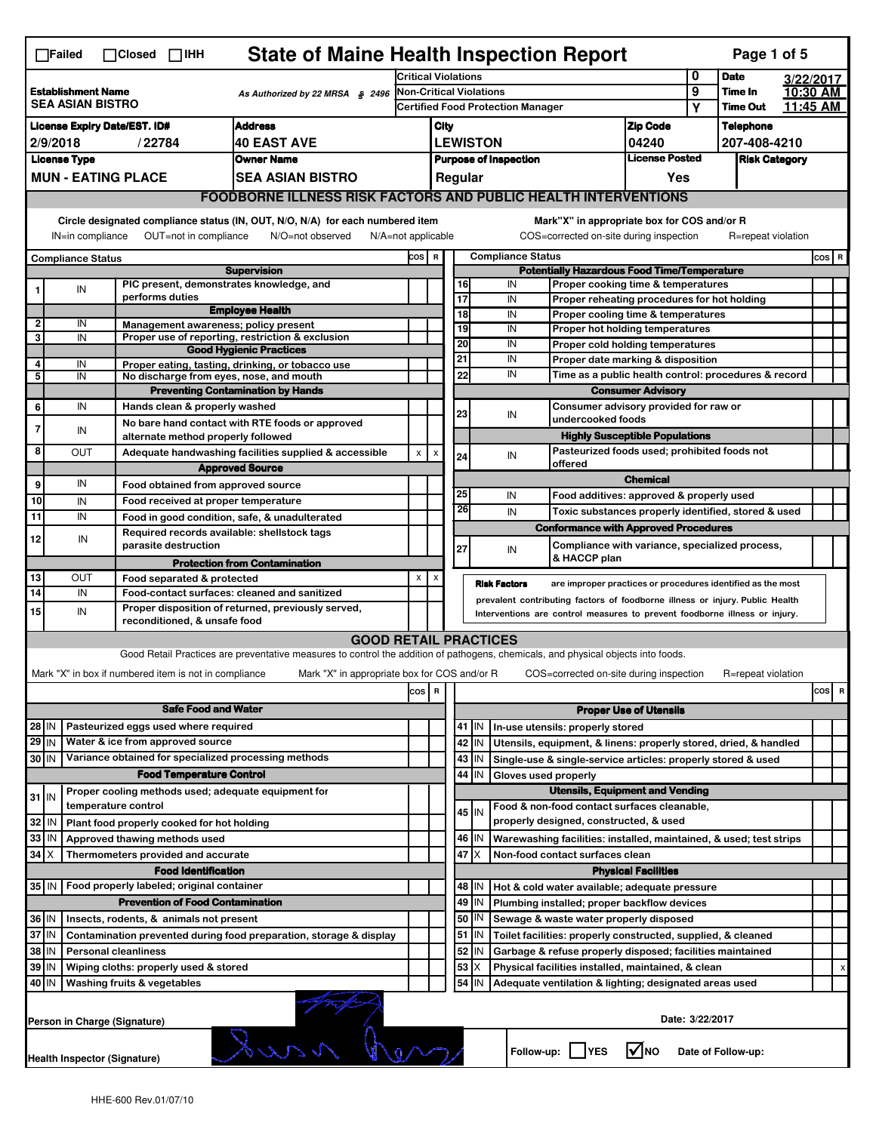| <b>State of Maine Health Inspection Report</b><br>Page 1 of 5<br>$\Box$ Failed<br>$\Box$ Closed $\Box$ IHH                                                                                              |                                                                                                                                                                       |                                                       |                                                                                                                                   |                                                   |                                                    |                       |                                          |                          |                                                                                        |                                       |                 |                    |           |       |   |
|---------------------------------------------------------------------------------------------------------------------------------------------------------------------------------------------------------|-----------------------------------------------------------------------------------------------------------------------------------------------------------------------|-------------------------------------------------------|-----------------------------------------------------------------------------------------------------------------------------------|---------------------------------------------------|----------------------------------------------------|-----------------------|------------------------------------------|--------------------------|----------------------------------------------------------------------------------------|---------------------------------------|-----------------|--------------------|-----------|-------|---|
|                                                                                                                                                                                                         |                                                                                                                                                                       |                                                       |                                                                                                                                   |                                                   | <b>Critical Violations</b>                         |                       |                                          |                          |                                                                                        |                                       | 0               | <b>Date</b>        | 3/22/2017 |       |   |
| <b>Establishment Name</b><br>As Authorized by 22 MRSA § 2496<br><b>SEA ASIAN BISTRO</b>                                                                                                                 |                                                                                                                                                                       |                                                       | Non-Critical Violations                                                                                                           |                                                   |                                                    |                       |                                          |                          |                                                                                        | 9                                     | Time In         | 10:30 AM           |           |       |   |
|                                                                                                                                                                                                         |                                                                                                                                                                       |                                                       |                                                                                                                                   |                                                   |                                                    |                       | <b>Certified Food Protection Manager</b> |                          |                                                                                        | Υ                                     | <b>Time Out</b> | 11:45 AM           |           |       |   |
| <b>Address</b><br><b>License Expiry Date/EST. ID#</b>                                                                                                                                                   |                                                                                                                                                                       |                                                       |                                                                                                                                   |                                                   | City                                               |                       |                                          |                          |                                                                                        | <b>Zip Code</b>                       |                 | <b>Telephone</b>   |           |       |   |
| 2/9/2018<br>/22784<br><b>40 EAST AVE</b>                                                                                                                                                                |                                                                                                                                                                       |                                                       |                                                                                                                                   | <b>LEWISTON</b><br>04240<br><b>License Posted</b> |                                                    |                       | 207-408-4210                             |                          |                                                                                        |                                       |                 |                    |           |       |   |
|                                                                                                                                                                                                         | <b>License Type</b>                                                                                                                                                   |                                                       | <b>Owner Name</b>                                                                                                                 |                                                   | <b>Purpose of Inspection</b><br>Regular            |                       |                                          |                          | <b>Risk Category</b>                                                                   |                                       |                 |                    |           |       |   |
|                                                                                                                                                                                                         |                                                                                                                                                                       | <b>MUN - EATING PLACE</b>                             | SEA ASIAN BISTRO                                                                                                                  |                                                   |                                                    |                       |                                          |                          |                                                                                        | Yes                                   |                 |                    |           |       |   |
|                                                                                                                                                                                                         |                                                                                                                                                                       |                                                       | <b>FOODBORNE ILLNESS RISK FACTORS AND PUBLIC HEALTH INTERVENTIONS</b>                                                             |                                                   |                                                    |                       |                                          |                          |                                                                                        |                                       |                 |                    |           |       |   |
|                                                                                                                                                                                                         | Circle designated compliance status (IN, OUT, N/O, N/A) for each numbered item<br>OUT=not in compliance<br>N/O=not observed<br>IN=in compliance<br>N/A=not applicable |                                                       |                                                                                                                                   |                                                   |                                                    |                       |                                          |                          | Mark"X" in appropriate box for COS and/or R<br>COS=corrected on-site during inspection |                                       |                 | R=repeat violation |           |       |   |
|                                                                                                                                                                                                         |                                                                                                                                                                       |                                                       |                                                                                                                                   | cos                                               | $\mathbf R$                                        |                       |                                          | <b>Compliance Status</b> |                                                                                        |                                       |                 |                    |           | COS R |   |
| <b>Compliance Status</b><br><b>Supervision</b>                                                                                                                                                          |                                                                                                                                                                       |                                                       |                                                                                                                                   |                                                   | <b>Potentially Hazardous Food Time/Temperature</b> |                       |                                          |                          |                                                                                        |                                       |                 |                    |           |       |   |
|                                                                                                                                                                                                         | IN                                                                                                                                                                    | PIC present, demonstrates knowledge, and              |                                                                                                                                   |                                                   |                                                    | 16                    |                                          | IN                       | Proper cooking time & temperatures                                                     |                                       |                 |                    |           |       |   |
|                                                                                                                                                                                                         |                                                                                                                                                                       | performs duties                                       | <b>Employee Health</b>                                                                                                            |                                                   |                                                    | 17<br>$\overline{18}$ |                                          | IN                       | Proper reheating procedures for hot holding                                            |                                       |                 |                    |           |       |   |
| $\overline{2}$                                                                                                                                                                                          | IN                                                                                                                                                                    | Management awareness; policy present                  |                                                                                                                                   |                                                   |                                                    | 19                    |                                          | IN<br>IN                 | Proper cooling time & temperatures<br>Proper hot holding temperatures                  |                                       |                 |                    |           |       |   |
| 3                                                                                                                                                                                                       | IN                                                                                                                                                                    |                                                       | Proper use of reporting, restriction & exclusion                                                                                  |                                                   |                                                    | 20                    |                                          | IN                       |                                                                                        |                                       |                 |                    |           |       |   |
|                                                                                                                                                                                                         |                                                                                                                                                                       |                                                       | <b>Good Hygienic Practices</b>                                                                                                    |                                                   |                                                    | 21                    |                                          | IN                       | Proper cold holding temperatures<br>Proper date marking & disposition                  |                                       |                 |                    |           |       |   |
| 4<br>5                                                                                                                                                                                                  | IN<br>IN                                                                                                                                                              | No discharge from eyes, nose, and mouth               | Proper eating, tasting, drinking, or tobacco use                                                                                  |                                                   |                                                    | 22                    |                                          | IN                       | Time as a public health control: procedures & record                                   |                                       |                 |                    |           |       |   |
|                                                                                                                                                                                                         |                                                                                                                                                                       |                                                       | <b>Preventing Contamination by Hands</b>                                                                                          |                                                   |                                                    |                       |                                          |                          |                                                                                        | <b>Consumer Advisory</b>              |                 |                    |           |       |   |
| 6                                                                                                                                                                                                       | IN                                                                                                                                                                    | Hands clean & properly washed                         |                                                                                                                                   |                                                   |                                                    |                       | Consumer advisory provided for raw or    |                          |                                                                                        |                                       |                 |                    |           |       |   |
|                                                                                                                                                                                                         |                                                                                                                                                                       |                                                       | No bare hand contact with RTE foods or approved                                                                                   |                                                   |                                                    | 23                    |                                          | IN                       | undercooked foods                                                                      |                                       |                 |                    |           |       |   |
| $\overline{7}$                                                                                                                                                                                          | IN                                                                                                                                                                    | alternate method properly followed                    |                                                                                                                                   |                                                   |                                                    |                       |                                          |                          |                                                                                        | <b>Highly Susceptible Populations</b> |                 |                    |           |       |   |
| 8                                                                                                                                                                                                       | OUT                                                                                                                                                                   |                                                       | Adequate handwashing facilities supplied & accessible<br><b>Approved Source</b>                                                   | X                                                 | X                                                  | 24                    |                                          | IN                       | Pasteurized foods used; prohibited foods not<br>offered                                |                                       |                 |                    |           |       |   |
| 9                                                                                                                                                                                                       | IN                                                                                                                                                                    |                                                       |                                                                                                                                   |                                                   |                                                    |                       |                                          |                          |                                                                                        | <b>Chemical</b>                       |                 |                    |           |       |   |
| 10                                                                                                                                                                                                      | IN                                                                                                                                                                    | Food obtained from approved source                    |                                                                                                                                   |                                                   |                                                    | 25                    |                                          | IN                       | Food additives: approved & properly used                                               |                                       |                 |                    |           |       |   |
| $\overline{11}$                                                                                                                                                                                         | IN                                                                                                                                                                    | Food received at proper temperature                   |                                                                                                                                   |                                                   |                                                    | 26                    |                                          | IN                       | Toxic substances properly identified, stored & used                                    |                                       |                 |                    |           |       |   |
|                                                                                                                                                                                                         |                                                                                                                                                                       | Required records available: shellstock tags           | Food in good condition, safe, & unadulterated                                                                                     |                                                   |                                                    |                       |                                          |                          | <b>Conformance with Approved Procedures</b>                                            |                                       |                 |                    |           |       |   |
| 12                                                                                                                                                                                                      | IN                                                                                                                                                                    | parasite destruction                                  |                                                                                                                                   |                                                   |                                                    | 27                    |                                          | IN                       | Compliance with variance, specialized process,                                         |                                       |                 |                    |           |       |   |
|                                                                                                                                                                                                         |                                                                                                                                                                       |                                                       | <b>Protection from Contamination</b>                                                                                              |                                                   |                                                    |                       |                                          |                          | & HACCP plan                                                                           |                                       |                 |                    |           |       |   |
| 13                                                                                                                                                                                                      | Ουτ                                                                                                                                                                   | Food separated & protected                            |                                                                                                                                   | x                                                 | x                                                  |                       |                                          | <b>Risk Factors</b>      |                                                                                        |                                       |                 |                    |           |       |   |
| are improper practices or procedures identified as the most<br>14<br>IN<br>Food-contact surfaces: cleaned and sanitized<br>prevalent contributing factors of foodborne illness or injury. Public Health |                                                                                                                                                                       |                                                       |                                                                                                                                   |                                                   |                                                    |                       |                                          |                          |                                                                                        |                                       |                 |                    |           |       |   |
| 15                                                                                                                                                                                                      | Proper disposition of returned, previously served,<br>IN<br>Interventions are control measures to prevent foodborne illness or injury.                                |                                                       |                                                                                                                                   |                                                   |                                                    |                       |                                          |                          |                                                                                        |                                       |                 |                    |           |       |   |
|                                                                                                                                                                                                         |                                                                                                                                                                       | reconditioned, & unsafe food                          |                                                                                                                                   |                                                   |                                                    |                       |                                          |                          |                                                                                        |                                       |                 |                    |           |       |   |
|                                                                                                                                                                                                         |                                                                                                                                                                       |                                                       | <b>GOOD RETAIL PRACTICES</b>                                                                                                      |                                                   |                                                    |                       |                                          |                          |                                                                                        |                                       |                 |                    |           |       |   |
|                                                                                                                                                                                                         |                                                                                                                                                                       |                                                       | Good Retail Practices are preventative measures to control the addition of pathogens, chemicals, and physical objects into foods. |                                                   |                                                    |                       |                                          |                          |                                                                                        |                                       |                 |                    |           |       |   |
|                                                                                                                                                                                                         |                                                                                                                                                                       | Mark "X" in box if numbered item is not in compliance | Mark "X" in appropriate box for COS and/or R                                                                                      |                                                   |                                                    |                       |                                          |                          | COS=corrected on-site during inspection                                                |                                       |                 | R=repeat violation |           |       |   |
|                                                                                                                                                                                                         |                                                                                                                                                                       |                                                       |                                                                                                                                   | cos R                                             |                                                    |                       |                                          |                          |                                                                                        |                                       |                 |                    |           | cos   | R |
|                                                                                                                                                                                                         |                                                                                                                                                                       | <b>Safe Food and Water</b>                            |                                                                                                                                   |                                                   |                                                    |                       |                                          |                          |                                                                                        | <b>Proper Use of Utensils</b>         |                 |                    |           |       |   |
| $28$ IN                                                                                                                                                                                                 |                                                                                                                                                                       | Pasteurized eggs used where required                  |                                                                                                                                   |                                                   |                                                    | 41                    | IN                                       |                          | In-use utensils: properly stored                                                       |                                       |                 |                    |           |       |   |
| $29$ IN                                                                                                                                                                                                 |                                                                                                                                                                       | Water & ice from approved source                      |                                                                                                                                   |                                                   |                                                    |                       | 42 IN                                    |                          | Utensils, equipment, & linens: properly stored, dried, & handled                       |                                       |                 |                    |           |       |   |
| 30 IN                                                                                                                                                                                                   |                                                                                                                                                                       | Variance obtained for specialized processing methods  |                                                                                                                                   |                                                   |                                                    |                       | $43$ IN                                  |                          | Single-use & single-service articles: properly stored & used                           |                                       |                 |                    |           |       |   |
|                                                                                                                                                                                                         |                                                                                                                                                                       | <b>Food Temperature Control</b>                       |                                                                                                                                   |                                                   |                                                    | 44                    | IN                                       | Gloves used properly     |                                                                                        |                                       |                 |                    |           |       |   |
| $31$ IN                                                                                                                                                                                                 |                                                                                                                                                                       | Proper cooling methods used; adequate equipment for   |                                                                                                                                   |                                                   |                                                    |                       |                                          |                          | <b>Utensils, Equipment and Vending</b>                                                 |                                       |                 |                    |           |       |   |
|                                                                                                                                                                                                         |                                                                                                                                                                       | temperature control                                   |                                                                                                                                   |                                                   |                                                    |                       | 45 IN                                    |                          | Food & non-food contact surfaces cleanable,                                            |                                       |                 |                    |           |       |   |
| 32<br>IN                                                                                                                                                                                                |                                                                                                                                                                       | Plant food properly cooked for hot holding            |                                                                                                                                   |                                                   |                                                    |                       |                                          |                          | properly designed, constructed, & used                                                 |                                       |                 |                    |           |       |   |
| 33<br>IN                                                                                                                                                                                                |                                                                                                                                                                       | Approved thawing methods used                         |                                                                                                                                   |                                                   |                                                    |                       | 46 IN                                    |                          | Warewashing facilities: installed, maintained, & used; test strips                     |                                       |                 |                    |           |       |   |
| 34<br>Iχ                                                                                                                                                                                                |                                                                                                                                                                       | Thermometers provided and accurate                    |                                                                                                                                   |                                                   |                                                    | 47                    | ΙX                                       |                          | Non-food contact surfaces clean                                                        |                                       |                 |                    |           |       |   |
|                                                                                                                                                                                                         |                                                                                                                                                                       | <b>Food Identification</b>                            |                                                                                                                                   |                                                   |                                                    |                       |                                          |                          |                                                                                        | <b>Physical Facilities</b>            |                 |                    |           |       |   |
| 35 IN                                                                                                                                                                                                   |                                                                                                                                                                       | Food properly labeled; original container             |                                                                                                                                   |                                                   |                                                    |                       | 48   IN                                  |                          | Hot & cold water available; adequate pressure                                          |                                       |                 |                    |           |       |   |
| 49<br><b>Prevention of Food Contamination</b><br>IN<br>Plumbing installed; proper backflow devices                                                                                                      |                                                                                                                                                                       |                                                       |                                                                                                                                   |                                                   |                                                    |                       |                                          |                          |                                                                                        |                                       |                 |                    |           |       |   |
| 50<br>36 IN<br>IN<br>Insects, rodents, & animals not present<br>Sewage & waste water properly disposed                                                                                                  |                                                                                                                                                                       |                                                       |                                                                                                                                   |                                                   |                                                    |                       |                                          |                          |                                                                                        |                                       |                 |                    |           |       |   |
| 37 IN<br>Contamination prevented during food preparation, storage & display                                                                                                                             |                                                                                                                                                                       |                                                       |                                                                                                                                   |                                                   |                                                    |                       | $51$ $\vert$ IN                          |                          | Toilet facilities: properly constructed, supplied, & cleaned                           |                                       |                 |                    |           |       |   |
| 38<br>ΙM<br><b>Personal cleanliness</b>                                                                                                                                                                 |                                                                                                                                                                       |                                                       |                                                                                                                                   |                                                   |                                                    | 52                    | IN                                       |                          | Garbage & refuse properly disposed; facilities maintained                              |                                       |                 |                    |           |       |   |
| 39<br>IN<br>Wiping cloths: properly used & stored                                                                                                                                                       |                                                                                                                                                                       |                                                       |                                                                                                                                   |                                                   |                                                    | 53                    | X                                        |                          | Physical facilities installed, maintained, & clean                                     |                                       |                 |                    |           |       |   |
| 54<br>40 IN<br>Washing fruits & vegetables<br>IN<br>Adequate ventilation & lighting; designated areas used                                                                                              |                                                                                                                                                                       |                                                       |                                                                                                                                   |                                                   |                                                    |                       |                                          |                          |                                                                                        |                                       |                 |                    |           |       |   |
| Date: 3/22/2017<br>Person in Charge (Signature)                                                                                                                                                         |                                                                                                                                                                       |                                                       |                                                                                                                                   |                                                   |                                                    |                       |                                          |                          |                                                                                        |                                       |                 |                    |           |       |   |
|                                                                                                                                                                                                         | Juro<br>Follow-up: YES<br>l√lno<br>Date of Follow-up:<br><b>Health Inspector (Signature)</b>                                                                          |                                                       |                                                                                                                                   |                                                   |                                                    |                       |                                          |                          |                                                                                        |                                       |                 |                    |           |       |   |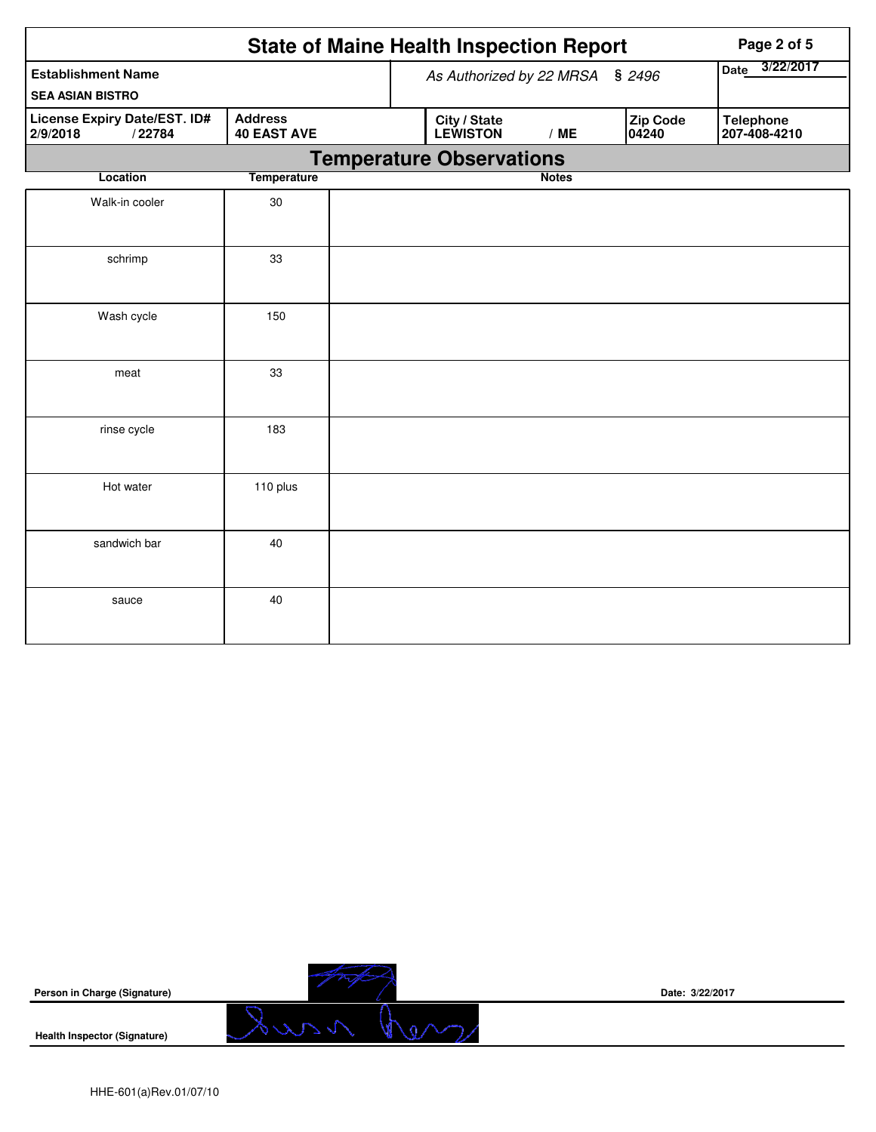| <b>State of Maine Health Inspection Report</b><br>Page 2 of 5 |                                      |                                 |                                 |              |                          |                                  |  |  |
|---------------------------------------------------------------|--------------------------------------|---------------------------------|---------------------------------|--------------|--------------------------|----------------------------------|--|--|
| <b>Establishment Name</b>                                     |                                      | As Authorized by 22 MRSA § 2496 | 3/22/2017<br>Date               |              |                          |                                  |  |  |
| <b>SEA ASIAN BISTRO</b>                                       |                                      |                                 |                                 |              |                          |                                  |  |  |
| <b>License Expiry Date/EST. ID#</b><br>2/9/2018<br>/22784     | <b>Address</b><br><b>40 EAST AVE</b> |                                 | City / State<br><b>LEWISTON</b> | /ME          | <b>Zip Code</b><br>04240 | <b>Telephone</b><br>207-408-4210 |  |  |
|                                                               |                                      |                                 | <b>Temperature Observations</b> |              |                          |                                  |  |  |
| Location                                                      | <b>Temperature</b>                   |                                 |                                 | <b>Notes</b> |                          |                                  |  |  |
| Walk-in cooler                                                | 30                                   |                                 |                                 |              |                          |                                  |  |  |
| schrimp                                                       | 33                                   |                                 |                                 |              |                          |                                  |  |  |
| Wash cycle                                                    | 150                                  |                                 |                                 |              |                          |                                  |  |  |
| meat                                                          | 33                                   |                                 |                                 |              |                          |                                  |  |  |
| rinse cycle                                                   | 183                                  |                                 |                                 |              |                          |                                  |  |  |
| Hot water                                                     | 110 plus                             |                                 |                                 |              |                          |                                  |  |  |
| sandwich bar                                                  | 40                                   |                                 |                                 |              |                          |                                  |  |  |
| sauce                                                         | 40                                   |                                 |                                 |              |                          |                                  |  |  |

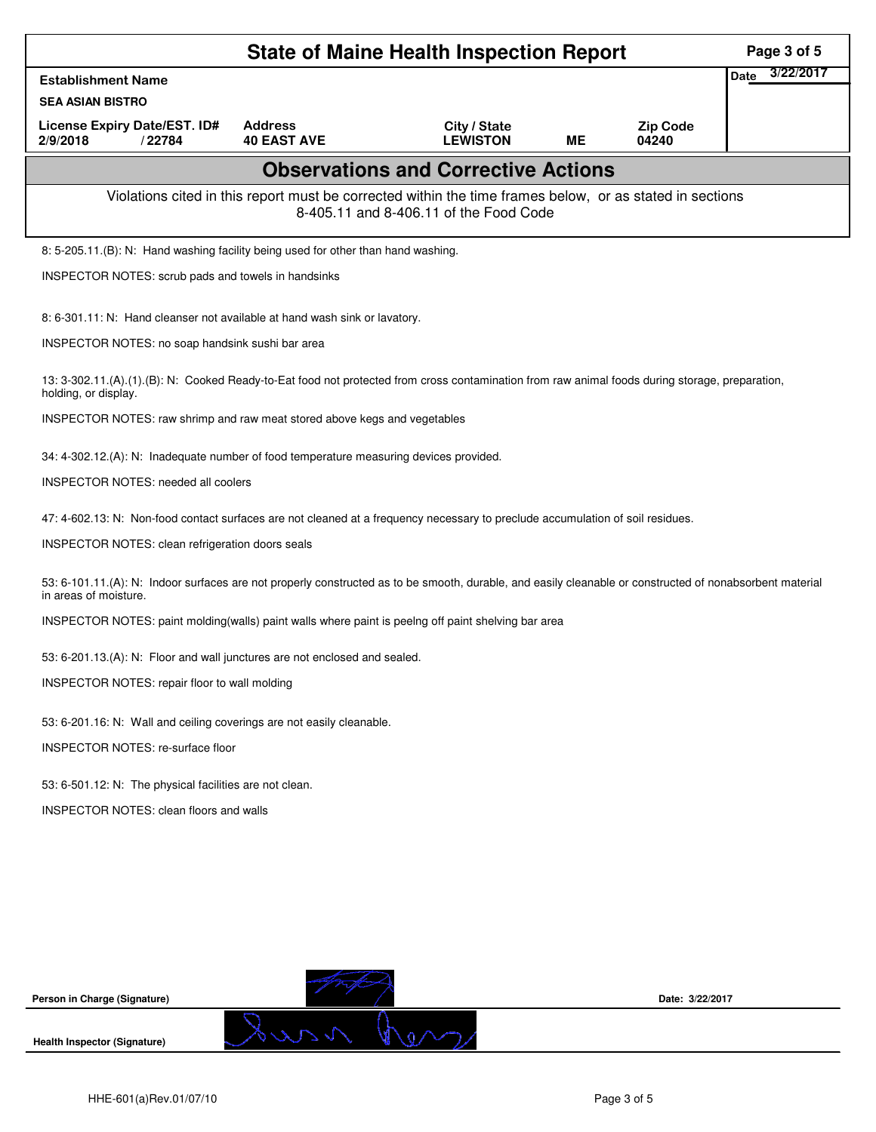|                                                                                                                                                                                   | <b>State of Maine Health Inspection Report</b> | Page 3 of 5                                                                                                                                        |           |                          |                          |
|-----------------------------------------------------------------------------------------------------------------------------------------------------------------------------------|------------------------------------------------|----------------------------------------------------------------------------------------------------------------------------------------------------|-----------|--------------------------|--------------------------|
| <b>Establishment Name</b>                                                                                                                                                         |                                                |                                                                                                                                                    |           |                          | 3/22/2017<br><b>Date</b> |
| <b>SEA ASIAN BISTRO</b>                                                                                                                                                           |                                                |                                                                                                                                                    |           |                          |                          |
| License Expiry Date/EST. ID#<br>2/9/2018<br>/22784                                                                                                                                | <b>Address</b><br><b>40 EAST AVE</b>           | City / State<br><b>LEWISTON</b>                                                                                                                    | <b>ME</b> | <b>Zip Code</b><br>04240 |                          |
|                                                                                                                                                                                   |                                                | <b>Observations and Corrective Actions</b>                                                                                                         |           |                          |                          |
|                                                                                                                                                                                   |                                                | Violations cited in this report must be corrected within the time frames below, or as stated in sections<br>8-405.11 and 8-406.11 of the Food Code |           |                          |                          |
| 8: 5-205.11.(B): N: Hand washing facility being used for other than hand washing.                                                                                                 |                                                |                                                                                                                                                    |           |                          |                          |
| INSPECTOR NOTES: scrub pads and towels in handsinks                                                                                                                               |                                                |                                                                                                                                                    |           |                          |                          |
| 8: 6-301.11: N: Hand cleanser not available at hand wash sink or lavatory.                                                                                                        |                                                |                                                                                                                                                    |           |                          |                          |
| INSPECTOR NOTES: no soap handsink sushi bar area                                                                                                                                  |                                                |                                                                                                                                                    |           |                          |                          |
| 13: 3-302.11.(A).(1).(B): N: Cooked Ready-to-Eat food not protected from cross contamination from raw animal foods during storage, preparation,<br>holding, or display.           |                                                |                                                                                                                                                    |           |                          |                          |
| INSPECTOR NOTES: raw shrimp and raw meat stored above kegs and vegetables                                                                                                         |                                                |                                                                                                                                                    |           |                          |                          |
| 34: 4-302.12.(A): N: Inadequate number of food temperature measuring devices provided.                                                                                            |                                                |                                                                                                                                                    |           |                          |                          |
| <b>INSPECTOR NOTES: needed all coolers</b>                                                                                                                                        |                                                |                                                                                                                                                    |           |                          |                          |
| 47: 4-602.13: N: Non-food contact surfaces are not cleaned at a frequency necessary to preclude accumulation of soil residues.                                                    |                                                |                                                                                                                                                    |           |                          |                          |
| INSPECTOR NOTES: clean refrigeration doors seals                                                                                                                                  |                                                |                                                                                                                                                    |           |                          |                          |
| 53: 6-101.11.(A): N: Indoor surfaces are not properly constructed as to be smooth, durable, and easily cleanable or constructed of nonabsorbent material<br>in areas of moisture. |                                                |                                                                                                                                                    |           |                          |                          |
| INSPECTOR NOTES: paint molding (walls) paint walls where paint is peelng off paint shelving bar area                                                                              |                                                |                                                                                                                                                    |           |                          |                          |
| 53: 6-201.13.(A): N: Floor and wall junctures are not enclosed and sealed.                                                                                                        |                                                |                                                                                                                                                    |           |                          |                          |
| INSPECTOR NOTES: repair floor to wall molding                                                                                                                                     |                                                |                                                                                                                                                    |           |                          |                          |
| 53: 6-201.16: N: Wall and ceiling coverings are not easily cleanable.                                                                                                             |                                                |                                                                                                                                                    |           |                          |                          |
| INSPECTOR NOTES: re-surface floor                                                                                                                                                 |                                                |                                                                                                                                                    |           |                          |                          |
| 53: 6-501.12: N: The physical facilities are not clean.                                                                                                                           |                                                |                                                                                                                                                    |           |                          |                          |
| <b>INSPECTOR NOTES: clean floors and walls</b>                                                                                                                                    |                                                |                                                                                                                                                    |           |                          |                          |
|                                                                                                                                                                                   |                                                |                                                                                                                                                    |           |                          |                          |
|                                                                                                                                                                                   |                                                |                                                                                                                                                    |           |                          |                          |
|                                                                                                                                                                                   |                                                |                                                                                                                                                    |           |                          |                          |
|                                                                                                                                                                                   |                                                |                                                                                                                                                    |           |                          |                          |
|                                                                                                                                                                                   |                                                |                                                                                                                                                    |           |                          |                          |
| Person in Charge (Signature)                                                                                                                                                      |                                                |                                                                                                                                                    |           | Date: 3/22/2017          |                          |
| <b>Health Inspector (Signature)</b>                                                                                                                                               | Surn f                                         |                                                                                                                                                    |           |                          |                          |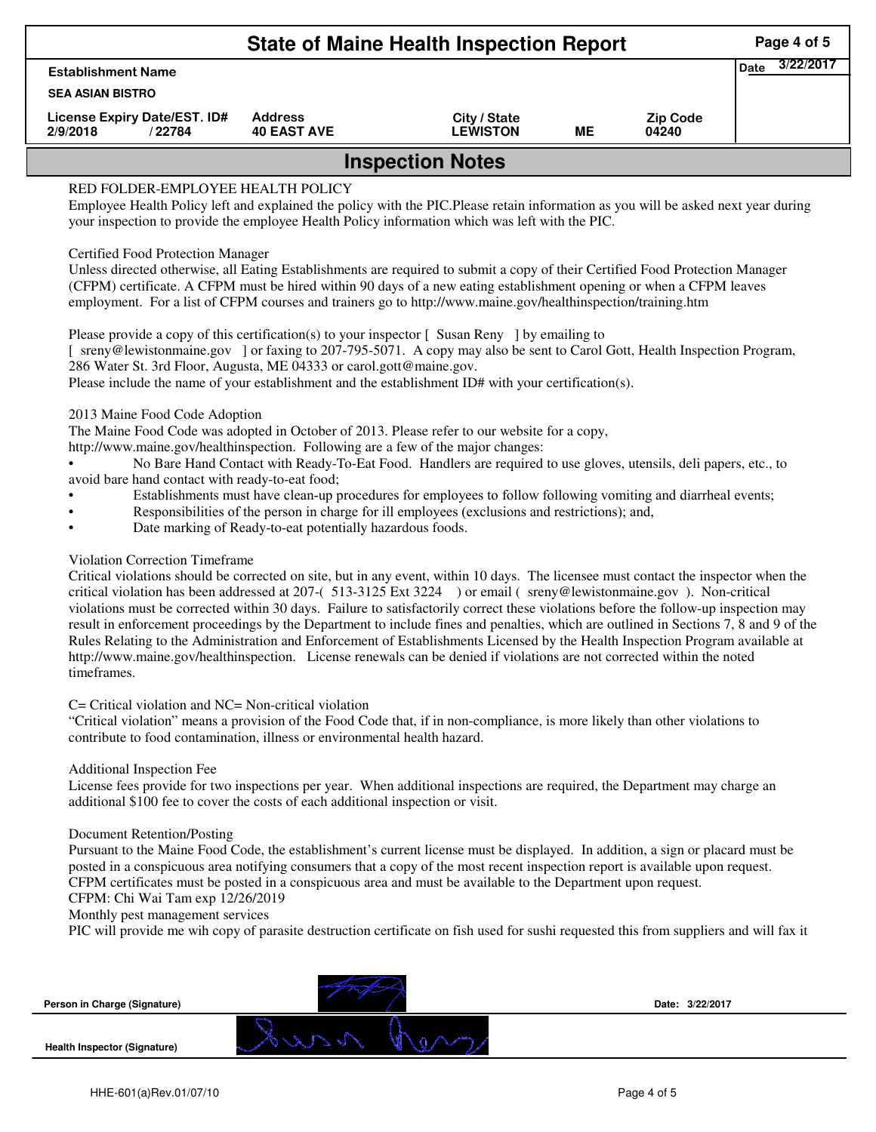|                                                    | Page 4 of 5<br>3/22/2017             |                                 |    |                          |  |  |  |  |  |
|----------------------------------------------------|--------------------------------------|---------------------------------|----|--------------------------|--|--|--|--|--|
| <b>Establishment Name</b>                          |                                      |                                 |    |                          |  |  |  |  |  |
| <b>SEA ASIAN BISTRO</b>                            |                                      |                                 |    |                          |  |  |  |  |  |
| License Expiry Date/EST. ID#<br>2/9/2018<br>/22784 | <b>Address</b><br><b>40 EAST AVE</b> | City / State<br><b>LEWISTON</b> | ME | <b>Zip Code</b><br>04240 |  |  |  |  |  |
| <b>Inspection Notes</b>                            |                                      |                                 |    |                          |  |  |  |  |  |
| RED FOLDER-EMPLOYEE HEALTH POLICY                  |                                      |                                 |    |                          |  |  |  |  |  |

Employee Health Policy left and explained the policy with the PIC.Please retain information as you will be asked next year during your inspection to provide the employee Health Policy information which was left with the PIC.

### Certified Food Protection Manager

Unless directed otherwise, all Eating Establishments are required to submit a copy of their Certified Food Protection Manager (CFPM) certificate. A CFPM must be hired within 90 days of a new eating establishment opening or when a CFPM leaves employment. For a list of CFPM courses and trainers go to http://www.maine.gov/healthinspection/training.htm

Please provide a copy of this certification(s) to your inspector [Susan Reny ] by emailing to [ sreny@lewistonmaine.gov ] or faxing to 207-795-5071. A copy may also be sent to Carol Gott, Health Inspection Program, 286 Water St. 3rd Floor, Augusta, ME 04333 or carol.gott@maine.gov.

Please include the name of your establishment and the establishment ID# with your certification(s).

2013 Maine Food Code Adoption

The Maine Food Code was adopted in October of 2013. Please refer to our website for a copy,

http://www.maine.gov/healthinspection. Following are a few of the major changes:

• No Bare Hand Contact with Ready-To-Eat Food. Handlers are required to use gloves, utensils, deli papers, etc., to avoid bare hand contact with ready-to-eat food;

- Establishments must have clean-up procedures for employees to follow following vomiting and diarrheal events;
- Responsibilities of the person in charge for ill employees (exclusions and restrictions); and,
- Date marking of Ready-to-eat potentially hazardous foods.

## Violation Correction Timeframe

Critical violations should be corrected on site, but in any event, within 10 days. The licensee must contact the inspector when the critical violation has been addressed at 207-( 513-3125 Ext 3224 ) or email ( sreny@lewistonmaine.gov ). Non-critical violations must be corrected within 30 days. Failure to satisfactorily correct these violations before the follow-up inspection may result in enforcement proceedings by the Department to include fines and penalties, which are outlined in Sections 7, 8 and 9 of the Rules Relating to the Administration and Enforcement of Establishments Licensed by the Health Inspection Program available at http://www.maine.gov/healthinspection. License renewals can be denied if violations are not corrected within the noted timeframes.

## C= Critical violation and NC= Non-critical violation

"Critical violation" means a provision of the Food Code that, if in non-compliance, is more likely than other violations to contribute to food contamination, illness or environmental health hazard.

#### Additional Inspection Fee

License fees provide for two inspections per year. When additional inspections are required, the Department may charge an additional \$100 fee to cover the costs of each additional inspection or visit.

#### Document Retention/Posting

Pursuant to the Maine Food Code, the establishment's current license must be displayed. In addition, a sign or placard must be posted in a conspicuous area notifying consumers that a copy of the most recent inspection report is available upon request. CFPM certificates must be posted in a conspicuous area and must be available to the Department upon request.

# CFPM: Chi Wai Tam exp 12/26/2019

Monthly pest management services

PIC will provide me wih copy of parasite destruction certificate on fish used for sushi requested this from suppliers and will fax it

**Person in Charge (Signature)**

**Health Inspector (Signature)** 

**Date: 3/22/2017**